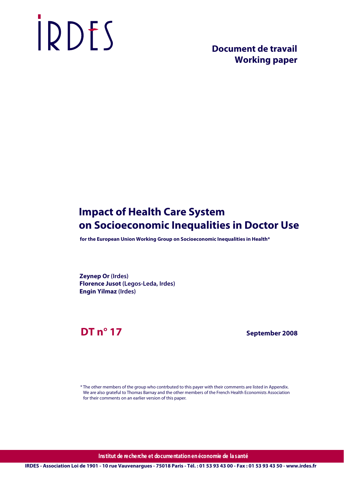# IRDES

# **Document de travail Working paper**

# **Impact of Health Care System on Socioeconomic Inequalities in Doctor Use**

 **for the European Union Working Group on Socioeconomic Inequalities in Health\***

**Zeynep Or (Irdes) Florence Jusot (Legos-Leda, Irdes) Engin Yilmaz (Irdes)**

# **DT n° 17**

 **September 2008**

\* The other members of the group who contrbuted to this payer with their comments are listed in Appendix. We are also grateful to Thomas Barnay and the other members of the French Health Economists Association for their comments on an earlier version of this paper.

**Institut de recherche et documentation en économie de la santé**

**IRDES - Association Loi de 1901 - 10 rue Vauvenargues - 75018 Paris - Tél. : 01 53 93 43 00 - Fax : 01 53 93 43 50 - www.irdes.fr**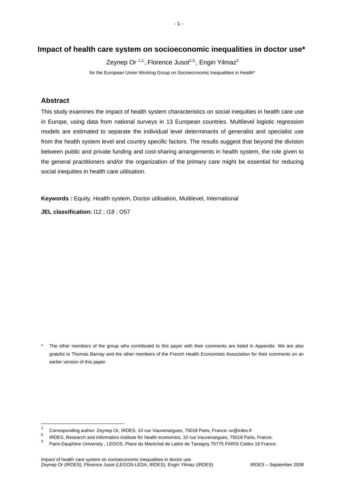# **Impact of health care system on socioeconomic inequalities in doctor use\***

Zeynep Or <sup>1,2,</sup>, Florence Jusot<sup>2,3,</sup>, Engin Yilmaz<sup>2</sup>

for the European Union Working Group on Socioeconomic Inequalities in Health\*

### **Abstract**

This study examines the impact of health system characteristics on social inequities in health care use in Europe, using data from national surveys in 13 European countries. Multilevel logistic regression models are estimated to separate the individual level determinants of generalist and specialist use from the health system level and country specific factors. The results suggest that beyond the division between public and private funding and cost-sharing arrangements in health system, the role given to the general practitioners and/or the organization of the primary care might be essential for reducing social inequities in health care utilisation.

**Keywords :** Equity, Health system, Doctor utilisation, Multilevel, International

**JEL classification:** I12 ; I18 ; O57

The other members of the group who contributed to this payer with their comments are listed in Appendix. We are also grateful to Thomas Barnay and the other members of the French Health Economists Association for their comments on an earlier version of this paper.

 $\frac{1}{1}$  Corresponding author: Zeynep Or, IRDES, 10 rue Vauvenargues, 75018 Paris, France: or@irdes.fr 2

IRDES, Research and information institute for health economics, 10 rue Vauvenargues, 75018 Paris, France.

<sup>3</sup> Paris-Dauphine University , LEGOS, Place du Maréchal de Lattre de Tassigny 75775 PARIS Cedex 16 France.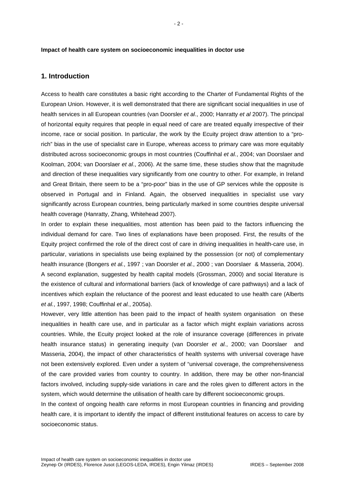#### **Impact of health care system on socioeconomic inequalities in doctor use**

#### **1. Introduction**

Access to health care constitutes a basic right according to the Charter of Fundamental Rights of the European Union. However, it is well demonstrated that there are significant social inequalities in use of health services in all European countries (van Doorsler *et al*., 2000; Hanratty *et al* 2007). The principal of horizontal equity requires that people in equal need of care are treated equally irrespective of their income, race or social position. In particular, the work by the Ecuity project draw attention to a "prorich" bias in the use of specialist care in Europe, whereas access to primary care was more equitably distributed across socioeconomic groups in most countries (Couffinhal *et al.*, 2004; van Doorslaer and Koolman, 2004; van Doorslaer *et al*., 2006). At the same time, these studies show that the magnitude and direction of these inequalities vary significantly from one country to other. For example, in Ireland and Great Britain, there seem to be a "pro-poor" bias in the use of GP services while the opposite is observed in Portugal and in Finland. Again, the observed inequalities in specialist use vary significantly across European countries, being particularly marked in some countries despite universal health coverage (Hanratty, Zhang, Whitehead 2007).

In order to explain these inequalities, most attention has been paid to the factors influencing the individual demand for care. Two lines of explanations have been proposed. First, the results of the Equity project confirmed the role of the direct cost of care in driving inequalities in health-care use, in particular, variations in specialists use being explained by the possession (or not) of complementary health insurance (Bongers *et al.*, 1997 ; van Doorsler *et al.*, 2000 ; van Doorslaer & Masseria, 2004). A second explanation, suggested by health capital models (Grossman, 2000) and social literature is the existence of cultural and informational barriers (lack of knowledge of care pathways) and a lack of incentives which explain the reluctance of the poorest and least educated to use health care (Alberts *et al.*, 1997, 1998; Couffinhal *et al.*, 2005a).

However, very little attention has been paid to the impact of health system organisation on these inequalities in health care use, and in particular as a factor which might explain variations across countries. While, the Ecuity project looked at the role of insurance coverage (differences in private health insurance status) in generating inequity (van Doorsler *et al.*, 2000; van Doorslaer and Masseria, 2004), the impact of other characteristics of health systems with universal coverage have not been extensively explored. Even under a system of "universal coverage, the comprehensiveness of the care provided varies from country to country. In addition, there may be other non-financial factors involved, including supply-side variations in care and the roles given to different actors in the system, which would determine the utilisation of health care by different socioeconomic groups.

In the context of ongoing health care reforms in most European countries in financing and providing health care, it is important to identify the impact of different institutional features on access to care by socioeconomic status.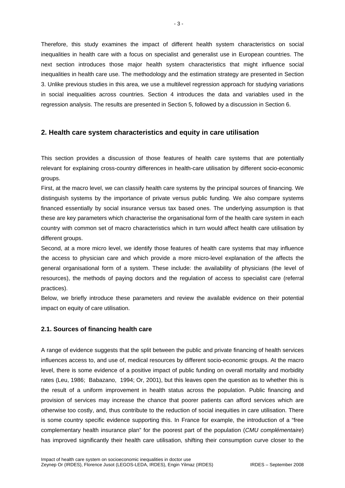Therefore, this study examines the impact of different health system characteristics on social inequalities in health care with a focus on specialist and generalist use in European countries. The next section introduces those major health system characteristics that might influence social inequalities in health care use. The methodology and the estimation strategy are presented in Section 3. Unlike previous studies in this area, we use a multilevel regression approach for studying variations in social inequalities across countries. Section 4 introduces the data and variables used in the regression analysis. The results are presented in Section 5, followed by a discussion in Section 6.

## **2. Health care system characteristics and equity in care utilisation**

This section provides a discussion of those features of health care systems that are potentially relevant for explaining cross-country differences in health-care utilisation by different socio-economic groups.

First, at the macro level, we can classify health care systems by the principal sources of financing. We distinguish systems by the importance of private versus public funding. We also compare systems financed essentially by social insurance versus tax based ones. The underlying assumption is that these are key parameters which characterise the organisational form of the health care system in each country with common set of macro characteristics which in turn would affect health care utilisation by different groups.

Second, at a more micro level, we identify those features of health care systems that may influence the access to physician care and which provide a more micro-level explanation of the affects the general organisational form of a system. These include: the availability of physicians (the level of resources), the methods of paying doctors and the regulation of access to specialist care (referral practices).

Below, we briefly introduce these parameters and review the available evidence on their potential impact on equity of care utilisation.

#### **2.1. Sources of financing health care**

A range of evidence suggests that the split between the public and private financing of health services influences access to, and use of, medical resources by different socio-economic groups. At the macro level, there is some evidence of a positive impact of public funding on overall mortality and morbidity rates (Leu, 1986; Babazano, 1994; Or, 2001), but this leaves open the question as to whether this is the result of a uniform improvement in health status across the population. Public financing and provision of services may increase the chance that poorer patients can afford services which are otherwise too costly, and, thus contribute to the reduction of social inequities in care utilisation. There is some country specific evidence supporting this. In France for example, the introduction of a "free complementary health insurance plan" for the poorest part of the population (*CMU complémentaire*) has improved significantly their health care utilisation, shifting their consumption curve closer to the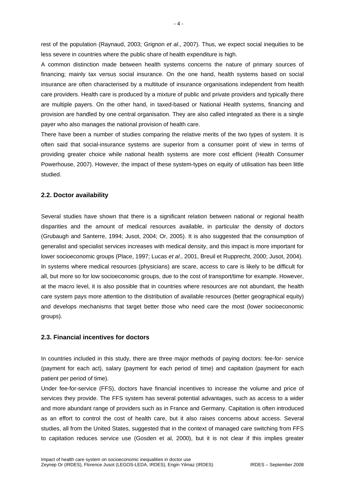rest of the population (Raynaud, 2003; Grignon *et al*., 2007). Thus, we expect social inequities to be less severe in countries where the public share of health expenditure is high.

A common distinction made between health systems concerns the nature of primary sources of financing; mainly tax versus social insurance. On the one hand, health systems based on social insurance are often characterised by a multitude of insurance organisations independent from health care providers. Health care is produced by a mixture of public and private providers and typically there are multiple payers. On the other hand, in taxed-based or National Health systems, financing and provision are handled by one central organisation. They are also called integrated as there is a single payer who also manages the national provision of health care.

There have been a number of studies comparing the relative merits of the two types of system. It is often said that social-insurance systems are superior from a consumer point of view in terms of providing greater choice while national health systems are more cost efficient (Health Consumer Powerhouse, 2007). However, the impact of these system-types on equity of utilisation has been little studied.

#### **2.2. Doctor availability**

Several studies have shown that there is a significant relation between national or regional health disparities and the amount of medical resources available, in particular the density of doctors (Grubaugh and Santerre, 1994; Jusot, 2004; Or, 2005). It is also suggested that the consumption of generalist and specialist services increases with medical density, and this impact is more important for lower socioeconomic groups (Place, 1997; Lucas *et al*., 2001, Breuil et Rupprecht, 2000; Jusot, 2004). In systems where medical resources (physicians) are scare, access to care is likely to be difficult for all, but more so for low socioeconomic groups, due to the cost of transport/time for example. However, at the macro level, it is also possible that in countries where resources are not abundant, the health care system pays more attention to the distribution of available resources (better geographical equity) and develops mechanisms that target better those who need care the most (lower socioeconomic groups).

#### **2.3. Financial incentives for doctors**

In countries included in this study, there are three major methods of paying doctors: fee-for- service (payment for each act), salary (payment for each period of time) and capitation (payment for each patient per period of time).

Under fee-for-service (FFS), doctors have financial incentives to increase the volume and price of services they provide. The FFS system has several potential advantages, such as access to a wider and more abundant range of providers such as in France and Germany. Capitation is often introduced as an effort to control the cost of health care, but it also raises concerns about access. Several studies, all from the United States, suggested that in the context of managed care switching from FFS to capitation reduces service use (Gosden et al, 2000), but it is not clear if this implies greater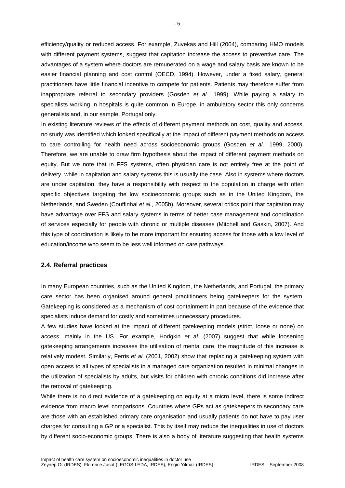efficiency/quality or reduced access. For example, Zuvekas and Hill (2004), comparing HMO models with different payment systems, suggest that capitation increase the access to preventive care. The advantages of a system where doctors are remunerated on a wage and salary basis are known to be easier financial planning and cost control (OECD, 1994). However, under a fixed salary, general practitioners have little financial incentive to compete for patients. Patients may therefore suffer from inappropriate referral to secondary providers (Gosden *et al.*, 1999). While paying a salary to specialists working in hospitals is quite common in Europe, in ambulatory sector this only concerns generalists and, in our sample, Portugal only.

In existing literature reviews of the effects of different payment methods on cost, quality and access, no study was identified which looked specifically at the impact of different payment methods on access to care controlling for health need across socioeconomic groups (Gosden *et al*., 1999, 2000). Therefore, we are unable to draw firm hypothesis about the impact of different payment methods on equity. But we note that in FFS systems, often physician care is not entirely free at the point of delivery, while in capitation and salary systems this is usually the case. Also in systems where doctors are under capitation, they have a responsibility with respect to the population in charge with often specific objectives targeting the low socioeconomic groups such as in the United Kingdom, the Netherlands, and Sweden (Couffinhal *et al.*, 2005b). Moreover, several critics point that capitation may have advantage over FFS and salary systems in terms of better case management and coordination of services especially for people with chronic or multiple diseases (Mitchell and Gaskin, 2007). And this type of coordination is likely to be more important for ensuring access for those with a low level of education/income who seem to be less well informed on care pathways.

#### **2.4. Referral practices**

In many European countries, such as the United Kingdom, the Netherlands, and Portugal, the primary care sector has been organised around general practitioners being gatekeepers for the system. Gatekeeping is considered as a mechanism of cost containment in part because of the evidence that specialists induce demand for costly and sometimes unnecessary procedures.

A few studies have looked at the impact of different gatekeeping models (strict, loose or none) on access, mainly in the US. For example, Hodgkin *et al.* (2007) suggest that while loosening gatekeeping arrangements increases the utilisation of mental care, the magnitude of this increase is relatively modest. Similarly, Ferris *et al.* (2001, 2002) show that replacing a gatekeeping system with open access to all types of specialists in a managed care organization resulted in minimal changes in the utilization of specialists by adults, but visits for children with chronic conditions did increase after the removal of gatekeeping.

While there is no direct evidence of a gatekeeping on equity at a micro level, there is some indirect evidence from macro level comparisons. Countries where GPs act as gatekeepers to secondary care are those with an established primary care organisation and usually patients do not have to pay user charges for consulting a GP or a specialist. This by itself may reduce the inequalities in use of doctors by different socio-economic groups. There is also a body of literature suggesting that health systems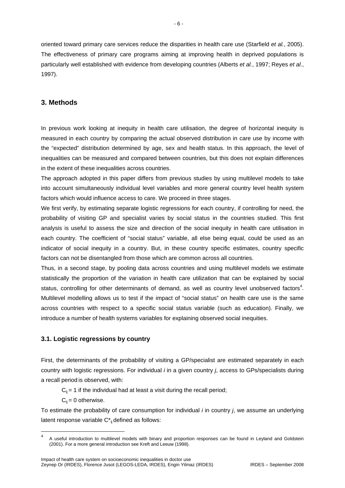oriented toward primary care services reduce the disparities in health care use (Starfield *et al.*, 2005). The effectiveness of primary care programs aiming at improving health in deprived populations is particularly well established with evidence from developing countries (Alberts *et al.*, 1997; Reyes *et al.*, 1997).

# **3. Methods**

In previous work looking at inequity in health care utilisation, the degree of horizontal inequity is measured in each country by comparing the actual observed distribution in care use by income with the "expected" distribution determined by age, sex and health status. In this approach, the level of inequalities can be measured and compared between countries, but this does not explain differences in the extent of these inequalities across countries.

The approach adopted in this paper differs from previous studies by using multilevel models to take into account simultaneously individual level variables and more general country level health system factors which would influence access to care. We proceed in three stages.

We first verify, by estimating separate logistic regressions for each country, if controlling for need, the probability of visiting GP and specialist varies by social status in the countries studied. This first analysis is useful to assess the size and direction of the social inequity in health care utilisation in each country. The coefficient of "social status" variable, all else being equal, could be used as an indicator of social inequity in a country. But, in these country specific estimates, country specific factors can not be disentangled from those which are common across all countries.

Thus, in a second stage, by pooling data across countries and using multilevel models we estimate statistically the proportion of the variation in health care utilization that can be explained by social status, controlling for other determinants of demand, as well as country level unobserved factors<sup>4</sup>. Multilevel modelling allows us to test if the impact of "social status" on health care use is the same across countries with respect to a specific social status variable (such as education). Finally, we introduce a number of health systems variables for explaining observed social inequities.

#### **3.1. Logistic regressions by country**

First, the determinants of the probability of visiting a GP/specialist are estimated separately in each country with logistic regressions. For individual *i* in a given country *j*, access to GPs/specialists during a recall period is observed, with:

 $C_{ij}$  = 1 if the individual had at least a visit during the recall period;

 $C_{ii} = 0$  otherwise.

1

To estimate the probability of care consumption for individual *i* in country *j*, we assume an underlying latent response variable  $C^*_{ij}$  defined as follows:

<sup>4</sup> A useful introduction to multilevel models with binary and proportion responses can be found in Leyland and Goldstein (2001). For a more general introduction see Kreft and Leeuw (1998).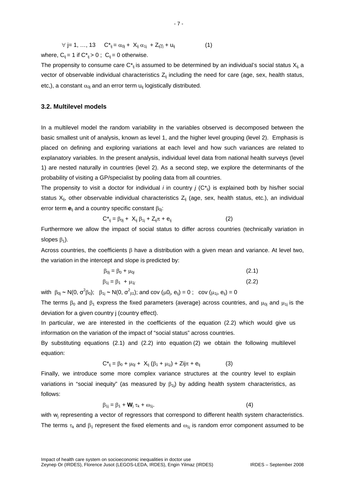$$
\forall j=1, ..., 13 \qquad C^*_{ij} = \alpha_{0j} + X_{ij} \alpha_{1j} + Z_{ij} \gamma_j + u_{ij}
$$
(1)  
where, C<sub>ij</sub> = 1 if C<sup>\*</sup><sub>ij</sub> > 0 ; C<sub>ij</sub> = 0 otherwise.

The propensity to consume care  $C^*_{ij}$  is assumed to be determined by an individual's social status  $X_{ij}$  a vector of observable individual characteristics  $Z_{ii}$  including the need for care (age, sex, health status, etc,), a constant  $\alpha_{0i}$  and an error term  $u_{ii}$  logistically distributed.

#### **3.2. Multilevel models**

In a multilevel model the random variability in the variables observed is decomposed between the basic smallest unit of analysis, known as level 1, and the higher level grouping (level 2). Emphasis is placed on defining and exploring variations at each level and how such variances are related to explanatory variables. In the present analysis, individual level data from national health surveys (level 1) are nested naturally in countries (level 2). As a second step, we explore the determinants of the probability of visiting a GP/specialist by pooling data from all countries.

The propensity to visit a doctor for individual *i* in country *j* (C\*ij) is explained both by his/her social status  $X_{ij}$ , other observable individual characteristics  $Z_{ij}$  (age, sex, health status, etc.), an individual error term  **and a country specific constant β<sub>0j</sub>:** 

$$
C^*_{ij} = \beta_{0j} + X_{ij} \beta_{1j} + Z_{ij}\pi + e_{ij}
$$
 (2)

Furthermore we allow the impact of social status to differ across countries (technically variation in slopes  $\beta_1$ ).

Across countries, the coefficients  $\beta$  have a distribution with a given mean and variance. At level two, the variation in the intercept and slope is predicted by:

$$
\beta_{0j} = \beta_0 + \mu_{0j} \tag{2.1}
$$
\n
$$
\beta_{1j} = \beta_1 + \mu_{1j} \tag{2.2}
$$

with  $\beta_{0j} \sim N(0, \sigma^2 \beta_0); \quad \beta_{1j} \sim N(0, \sigma^2_{\beta 1});$  and cov  $(\mu 0_j, e_{ij}) = 0$ ; cov  $(\mu_{1j}, e_{ij}) = 0$ 

The terms  $\beta_0$  and  $\beta_1$  express the fixed parameters (average) across countries, and  $\mu_{0i}$  and  $\mu_{1i}$  is the deviation for a given country j (country effect).

In particular, we are interested in the coefficients of the equation (2.2) which would give us information on the variation of the impact of "social status" across countries.

By substituting equations (2.1) and (2.2) into equation (2) we obtain the following multilevel equation:

$$
C_{ij}^{*} = \beta_0 + \mu_{0j} + X_{ij} (\beta_1 + \mu_{1j}) + Zij\pi + e_{ij}
$$
 (3)

Finally, we introduce some more complex variance structures at the country level to explain variations in "social inequity" (as measured by  $\beta_{1i}$ ) by adding health system characteristics, as follows:

$$
\beta_{1j} = \beta_1 + \mathbf{W}_j \tau_k + \omega_{1j}.
$$
 (4)

with  $w_i$  representing a vector of regressors that correspond to different health system characteristics. The terms  $\tau_k$  and  $\beta_1$  represent the fixed elements and  $\omega_{1i}$  is random error component assumed to be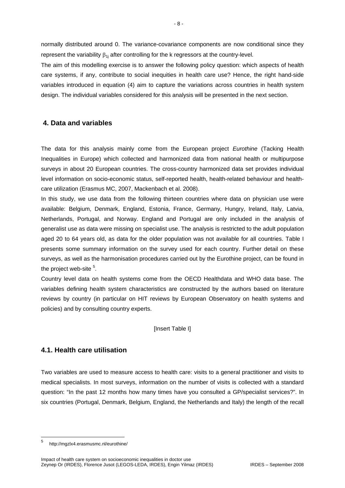normally distributed around 0. The variance-covariance components are now conditional since they represent the variability  $\beta_{1i}$  after controlling for the k regressors at the country-level.

The aim of this modelling exercise is to answer the following policy question: which aspects of health care systems, if any, contribute to social inequities in health care use? Hence, the right hand-side variables introduced in equation (4) aim to capture the variations across countries in health system design. The individual variables considered for this analysis will be presented in the next section.

# **4. Data and variables**

The data for this analysis mainly come from the European project *Eurothine* (Tacking Health Inequalities in Europe) which collected and harmonized data from national health or multipurpose surveys in about 20 European countries. The cross-country harmonized data set provides individual level information on socio-economic status, self-reported health, health-related behaviour and healthcare utilization (Erasmus MC, 2007, Mackenbach et al. 2008).

In this study, we use data from the following thirteen countries where data on physician use were available: Belgium, Denmark, England, Estonia, France, Germany, Hungry, Ireland, Italy, Latvia, Netherlands, Portugal, and Norway. England and Portugal are only included in the analysis of generalist use as data were missing on specialist use. The analysis is restricted to the adult population aged 20 to 64 years old, as data for the older population was not available for all countries. Table I presents some summary information on the survey used for each country. Further detail on these surveys, as well as the harmonisation procedures carried out by the Eurothine project, can be found in the project web-site  $5$ .

Country level data on health systems come from the OECD Healthdata and WHO data base. The variables defining health system characteristics are constructed by the authors based on literature reviews by country (in particular on HIT reviews by European Observatory on health systems and policies) and by consulting country experts.

#### **Insert Table II**

# **4.1. Health care utilisation**

Two variables are used to measure access to health care: visits to a general practitioner and visits to medical specialists. In most surveys, information on the number of visits is collected with a standard question: "In the past 12 months how many times have you consulted a GP/specialist services?". In six countries (Portugal, Denmark, Belgium, England, the Netherlands and Italy) the length of the recall

1

<sup>5</sup> http://mgzlx4.erasmusmc.nl/eurothine/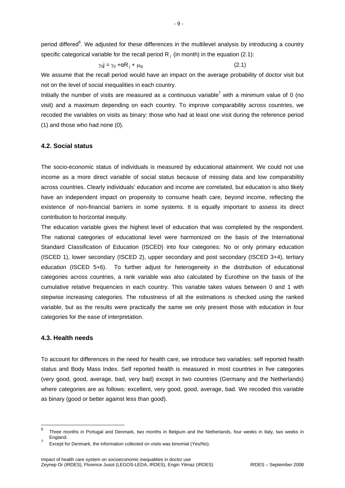period differed<sup>6</sup>. We adjusted for these differences in the multilevel analysis by introducing a country specific categorical variable for the recall period  $R_i$  (in month) in the equation (2.1):

$$
\gamma_0 \mathbf{j} = \gamma_0 + \alpha \mathbf{R}_j + \mu_{0j} \tag{2.1}
$$

We assume that the recall period would have an impact on the average probability of doctor visit but not on the level of social inequalities in each country.

Initially the number of visits are measured as a continuous variable<sup>7</sup> with a minimum value of 0 (no visit) and a maximum depending on each country. To improve comparability across countries, we recoded the variables on visits as binary: those who had at least one visit during the reference period (1) and those who had none (0).

#### **4.2. Social status**

The socio-economic status of individuals is measured by educational attainment. We could not use income as a more direct variable of social status because of missing data and low comparability across countries. Clearly individuals' education and income are correlated, but education is also likely have an independent impact on propensity to consume heath care, beyond income, reflecting the existence of non-financial barriers in some systems. It is equally important to assess its direct contribution to horizontal inequity.

The education variable gives the highest level of education that was completed by the respondent. The national categories of educational level were harmonized on the basis of the International Standard Classification of Education (ISCED) into four categories: No or only primary education (ISCED 1), lower secondary (ISCED 2), upper secondary and post secondary (ISCED 3+4), tertiary education (ISCED 5+6). To further adjust for heterogeneity in the distribution of educational categories across countries, a rank variable was also calculated by Eurothine on the basis of the cumulative relative frequencies in each country. This variable takes values between 0 and 1 with stepwise increasing categories. The robustness of all the estimations is checked using the ranked variable, but as the results were practically the same we only present those with education in four categories for the ease of interpretation.

#### **4.3. Health needs**

To account for differences in the need for health care, we introduce two variables: self reported health status and Body Mass Index. Self reported health is measured in most countries in five categories (very good, good, average, bad, very bad) except in two countries (Germany and the Netherlands) where categories are as follows: excellent, very good, good, average, bad. We recoded this variable as binary (good or better against less than good).

<sup>–&</sup>lt;br>6 Three months in Portugal and Denmark, two months in Belgium and the Netherlands, four weeks in Italy, two weeks in England. 7

Except for Denmark, the information collected on visits was binomial (Yes/No).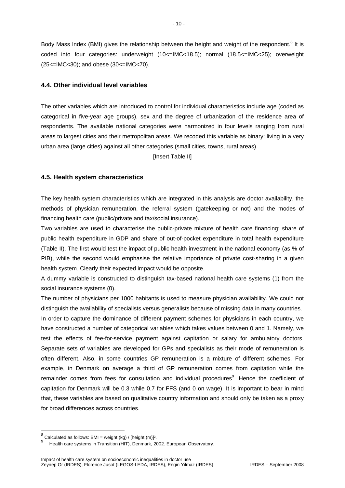Body Mass Index (BMI) gives the relationship between the height and weight of the respondent.<sup>8</sup> It is coded into four categories: underweight (10<=IMC<18.5); normal (18.5<=IMC<25); overweight (25<=IMC<30); and obese (30<=IMC<70).

#### **4.4. Other individual level variables**

The other variables which are introduced to control for individual characteristics include age (coded as categorical in five-year age groups), sex and the degree of urbanization of the residence area of respondents. The available national categories were harmonized in four levels ranging from rural areas to largest cities and their metropolitan areas. We recoded this variable as binary: living in a very urban area (large cities) against all other categories (small cities, towns, rural areas).

[Insert Table II]

#### **4.5. Health system characteristics**

The key health system characteristics which are integrated in this analysis are doctor availability, the methods of physician remuneration, the referral system (gatekeeping or not) and the modes of financing health care (public/private and tax/social insurance).

Two variables are used to characterise the public-private mixture of health care financing: share of public health expenditure in GDP and share of out-of-pocket expenditure in total health expenditure (Table II). The first would test the impact of public health investment in the national economy (as % of PIB), while the second would emphasise the relative importance of private cost-sharing in a given health system. Clearly their expected impact would be opposite.

A dummy variable is constructed to distinguish tax-based national health care systems (1) from the social insurance systems (0).

The number of physicians per 1000 habitants is used to measure physician availability. We could not distinguish the availability of specialists versus generalists because of missing data in many countries. In order to capture the dominance of different payment schemes for physicians in each country, we have constructed a number of categorical variables which takes values between 0 and 1. Namely, we test the effects of fee-for-service payment against capitation or salary for ambulatory doctors. Separate sets of variables are developed for GPs and specialists as their mode of remuneration is often different. Also, in some countries GP remuneration is a mixture of different schemes. For example, in Denmark on average a third of GP remuneration comes from capitation while the remainder comes from fees for consultation and individual procedures<sup>9</sup>. Hence the coefficient of capitation for Denmark will be 0.3 while 0.7 for FFS (and 0 on wage). It is important to bear in mind that, these variables are based on qualitative country information and should only be taken as a proxy for broad differences across countries.

 $\frac{8}{3}$  Calculated as follows: BMI = weight (kg) / [height (m)]<sup>2</sup>.

Health care systems in Transition (HIT), Denmark, 2002. European Observatory.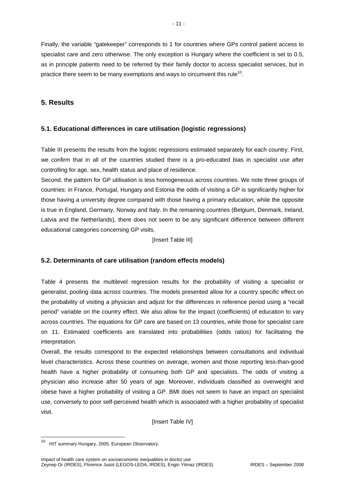Finally, the variable "gatekeeper" corresponds to 1 for countries where GPs control patient access to specialist care and zero otherwise. The only exception is Hungary where the coefficient is set to 0.5, as in principle patients need to be referred by their family doctor to access specialist services, but in practice there seem to be many exemptions and ways to circumvent this rule<sup>10</sup>.

# **5. Results**

# **5.1. Educational differences in care utilisation (logistic regressions)**

Table III presents the results from the logistic regressions estimated separately for each country. First, we confirm that in all of the countries studied there is a pro-educated bias in specialist use after controlling for age, sex, health status and place of residence.

Second, the pattern for GP utilisation is less homogeneous across countries. We note three groups of countries: in France, Portugal, Hungary and Estonia the odds of visiting a GP is significantly higher for those having a university degree compared with those having a primary education, while the opposite is true in England, Germany, Norway and Italy. In the remaining countries (Belgium, Denmark, Ireland, Latvia and the Netherlands), there does not seem to be any significant difference between different educational categories concerning GP visits.

[Insert Table III]

# **5.2. Determinants of care utilisation (random effects models)**

Table 4 presents the multilevel regression results for the probability of visiting a specialist or generalist, pooling data across countries. The models presented allow for a country specific effect on the probability of visiting a physician and adjust for the differences in reference period using a "recall period" variable on the country effect. We also allow for the impact (coefficients) of education to vary across countries. The equations for GP care are based on 13 countries, while those for specialist care on 11. Estimated coefficients are translated into probabilities (odds ratios) for facilitating the interpretation.

Overall, the results correspond to the expected relationships between consultations and individual level characteristics. Across these countries on average, women and those reporting less-than-good health have a higher probability of consuming both GP and specialists. The odds of visiting a physician also increase after 50 years of age. Moreover, individuals classified as overweight and obese have a higher probability of visiting a GP. BMI does not seem to have an impact on specialist use, conversely to poor self-perceived health which is associated with a higher probability of specialist visit.

[Insert Table IV]

1

<sup>10</sup> HIT summary Hungary, 2005. European Observatory.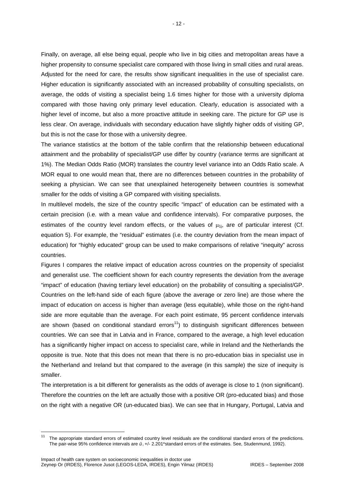Finally, on average, all else being equal, people who live in big cities and metropolitan areas have a higher propensity to consume specialist care compared with those living in small cities and rural areas. Adjusted for the need for care, the results show significant inequalities in the use of specialist care. Higher education is significantly associated with an increased probability of consulting specialists, on average, the odds of visiting a specialist being 1.6 times higher for those with a university diploma compared with those having only primary level education. Clearly, education is associated with a higher level of income, but also a more proactive attitude in seeking care. The picture for GP use is less clear. On average, individuals with secondary education have slightly higher odds of visiting GP, but this is not the case for those with a university degree.

The variance statistics at the bottom of the table confirm that the relationship between educational attainment and the probability of specialist/GP use differ by country (variance terms are significant at 1%). The Median Odds Ratio (MOR) translates the country level variance into an Odds Ratio scale. A MOR equal to one would mean that, there are no differences between countries in the probability of seeking a physician. We can see that unexplained heterogeneity between countries is somewhat smaller for the odds of visiting a GP compared with visiting specialists.

In multilevel models, the size of the country specific "impact" of education can be estimated with a certain precision (i.e. with a mean value and confidence intervals). For comparative purposes, the estimates of the country level random effects, or the values of  $\mu_{1i}$ , are of particular interest (Cf. equation 5). For example, the "residual" estimates (i.e. the country deviation from the mean impact of education) for "highly educated" group can be used to make comparisons of relative "inequity" across countries.

Figures I compares the relative impact of education across countries on the propensity of specialist and generalist use. The coefficient shown for each country represents the deviation from the average "impact" of education (having tertiary level education) on the probability of consulting a specialist/GP. Countries on the left-hand side of each figure (above the average or zero line) are those where the impact of education on access is higher than average (less equitable), while those on the right-hand side are more equitable than the average. For each point estimate, 95 percent confidence intervals are shown (based on conditional standard errors<sup>11</sup>) to distinguish significant differences between countries. We can see that in Latvia and in France, compared to the average, a high level education has a significantly higher impact on access to specialist care, while in Ireland and the Netherlands the opposite is true. Note that this does not mean that there is no pro-education bias in specialist use in the Netherland and Ireland but that compared to the average (in this sample) the size of inequity is smaller.

The interpretation is a bit different for generalists as the odds of average is close to 1 (non significant). Therefore the countries on the left are actually those with a positive OR (pro-educated bias) and those on the right with a negative OR (un-educated bias). We can see that in Hungary, Portugal, Latvia and

 $11$ 11 The appropriate standard errors of estimated country level residuals are the conditional standard errors of the predictions. The pair-wise 95% confidence intervals are  $\hat{u}_1 +$ /- 2.201\*standard errors of the estimates. See, Studenmund, 1992).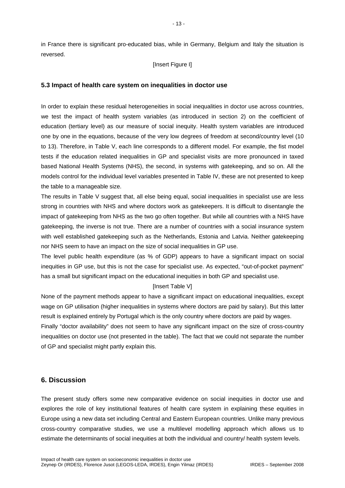in France there is significant pro-educated bias, while in Germany, Belgium and Italy the situation is reversed.

#### [Insert Figure I]

#### **5.3 Impact of health care system on inequalities in doctor use**

In order to explain these residual heterogeneities in social inequalities in doctor use across countries, we test the impact of health system variables (as introduced in section 2) on the coefficient of education (tertiary level) as our measure of social inequity. Health system variables are introduced one by one in the equations, because of the very low degrees of freedom at second/country level (10 to 13). Therefore, in Table V, each line corresponds to a different model. For example, the fist model tests if the education related inequalities in GP and specialist visits are more pronounced in taxed based National Health Systems (NHS), the second, in systems with gatekeeping, and so on. All the models control for the individual level variables presented in Table IV, these are not presented to keep the table to a manageable size.

The results in Table V suggest that, all else being equal, social inequalities in specialist use are less strong in countries with NHS and where doctors work as gatekeepers. It is difficult to disentangle the impact of gatekeeping from NHS as the two go often together. But while all countries with a NHS have gatekeeping, the inverse is not true. There are a number of countries with a social insurance system with well established gatekeeping such as the Netherlands, Estonia and Latvia. Neither gatekeeping nor NHS seem to have an impact on the size of social inequalities in GP use.

The level public health expenditure (as % of GDP) appears to have a significant impact on social inequities in GP use, but this is not the case for specialist use. As expected, "out-of-pocket payment" has a small but significant impact on the educational inequities in both GP and specialist use.

#### [Insert Table V]

None of the payment methods appear to have a significant impact on educational inequalities, except wage on GP utilisation (higher inequalities in systems where doctors are paid by salary). But this latter result is explained entirely by Portugal which is the only country where doctors are paid by wages.

Finally "doctor availability" does not seem to have any significant impact on the size of cross-country inequalities on doctor use (not presented in the table). The fact that we could not separate the number of GP and specialist might partly explain this.

# **6. Discussion**

The present study offers some new comparative evidence on social inequities in doctor use and explores the role of key institutional features of health care system in explaining these equities in Europe using a new data set including Central and Eastern European countries. Unlike many previous cross-country comparative studies, we use a multilevel modelling approach which allows us to estimate the determinants of social inequities at both the individual and country/ health system levels.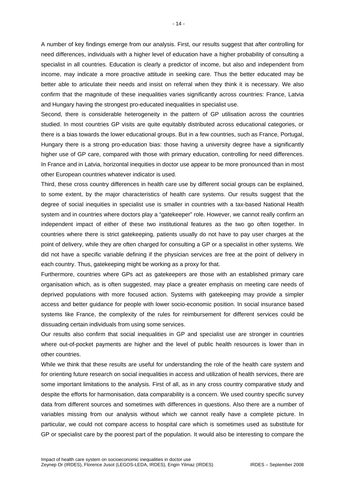A number of key findings emerge from our analysis. First, our results suggest that after controlling for need differences, individuals with a higher level of education have a higher probability of consulting a specialist in all countries. Education is clearly a predictor of income, but also and independent from income, may indicate a more proactive attitude in seeking care. Thus the better educated may be better able to articulate their needs and insist on referral when they think it is necessary. We also confirm that the magnitude of these inequalities varies significantly across countries: France, Latvia and Hungary having the strongest pro-educated inequalities in specialist use.

Second, there is considerable heterogeneity in the pattern of GP utilisation across the countries studied. In most countries GP visits are quite equitably distributed across educational categories, or there is a bias towards the lower educational groups. But in a few countries, such as France, Portugal, Hungary there is a strong pro-education bias: those having a university degree have a significantly higher use of GP care, compared with those with primary education, controlling for need differences. In France and in Latvia, horizontal inequities in doctor use appear to be more pronounced than in most other European countries whatever indicator is used.

Third, these cross country differences in health care use by different social groups can be explained, to some extent, by the major characteristics of health care systems. Our results suggest that the degree of social inequities in specialist use is smaller in countries with a tax-based National Health system and in countries where doctors play a "gatekeeper" role. However, we cannot really confirm an independent impact of either of these two institutional features as the two go often together. In countries where there is strict gatekeeping, patients usually do not have to pay user charges at the point of delivery, while they are often charged for consulting a GP or a specialist in other systems. We did not have a specific variable defining if the physician services are free at the point of delivery in each country. Thus, gatekeeping might be working as a proxy for that.

Furthermore, countries where GPs act as gatekeepers are those with an established primary care organisation which, as is often suggested, may place a greater emphasis on meeting care needs of deprived populations with more focused action. Systems with gatekeeping may provide a simpler access and better guidance for people with lower socio-economic position. In social insurance based systems like France, the complexity of the rules for reimbursement for different services could be dissuading certain individuals from using some services.

Our results also confirm that social inequalities in GP and specialist use are stronger in countries where out-of-pocket payments are higher and the level of public health resources is lower than in other countries.

While we think that these results are useful for understanding the role of the health care system and for orienting future research on social inequalities in access and utilization of health services, there are some important limitations to the analysis. First of all, as in any cross country comparative study and despite the efforts for harmonisation, data comparability is a concern. We used country specific survey data from different sources and sometimes with differences in questions. Also there are a number of variables missing from our analysis without which we cannot really have a complete picture. In particular, we could not compare access to hospital care which is sometimes used as substitute for GP or specialist care by the poorest part of the population. It would also be interesting to compare the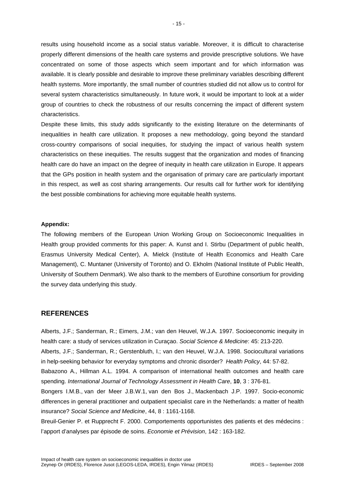results using household income as a social status variable. Moreover, it is difficult to characterise properly different dimensions of the health care systems and provide prescriptive solutions. We have concentrated on some of those aspects which seem important and for which information was available. It is clearly possible and desirable to improve these preliminary variables describing different health systems. More importantly, the small number of countries studied did not allow us to control for several system characteristics simultaneously. In future work, it would be important to look at a wider group of countries to check the robustness of our results concerning the impact of different system characteristics.

Despite these limits, this study adds significantly to the existing literature on the determinants of inequalities in health care utilization. It proposes a new methodology, going beyond the standard cross-country comparisons of social inequities, for studying the impact of various health system characteristics on these inequities. The results suggest that the organization and modes of financing health care do have an impact on the degree of inequity in health care utilization in Europe. It appears that the GPs position in health system and the organisation of primary care are particularly important in this respect, as well as cost sharing arrangements. Our results call for further work for identifying the best possible combinations for achieving more equitable health systems.

#### **Appendix:**

The following members of the European Union Working Group on Socioeconomic Inequalities in Health group provided comments for this paper: A. Kunst and I. Stirbu (Department of public health, Erasmus University Medical Center), A. Mielck (Institute of Health Economics and Health Care Management), C. Muntaner (University of Toronto) and O. Ekholm (National Institute of Public Health, University of Southern Denmark). We also thank to the members of Eurothine consortium for providing the survey data underlying this study.

#### **REFERENCES**

Alberts, J.F.; Sanderman, R.; Eimers, J.M.; van den Heuvel, W.J.A. 1997. Socioeconomic inequity in health care: a study of services utilization in Curaçao. *Social Science & Medicine*: 45: 213-220.

Alberts, J.F.; Sanderman, R.; Gerstenbluth, I.; van den Heuvel, W.J.A. 1998. Sociocultural variations in help-seeking behavior for everyday symptoms and chronic disorder? *Health Policy*, 44: 57-82.

Babazono A., Hillman A.L. 1994. A comparison of international health outcomes and health care spending. *International Journal of Technology Assessment in Health Care*, **10**, 3 : 376-81.

Bongers I.M.B., van der Meer J.B.W.1, van den Bos J., Mackenbach J.P. 1997. Socio-economic differences in general practitioner and outpatient specialist care in the Netherlands: a matter of health insurance? *Social Science and Medicine*, 44, 8 : 1161-1168.

Breuil-Genier P. et Rupprecht F. 2000. Comportements opportunistes des patients et des médecins : l'apport d'analyses par épisode de soins. *Economie et Prévision*, 142 : 163-182.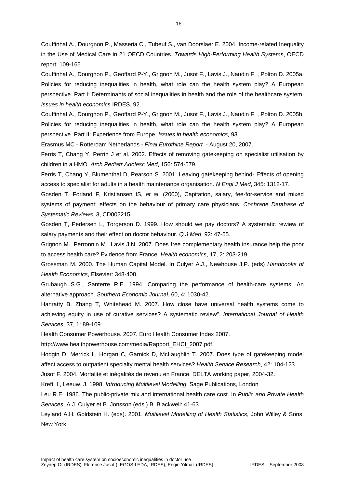Couffinhal A., Dourgnon P., Masseria C., Tubeuf S., van Doorslaer E. 2004. Income-related Inequality in the Use of Medical Care in 21 OECD Countries. *Towards High-Performing Health Systems*, OECD report: 109-165.

Couffinhal A., Dourgnon P., Geoffard P-Y., Grignon M., Jusot F., Lavis J., Naudin F. , Polton D. 2005a. Policies for reducing inequalities in health, what role can the health system play? A European perspective. Part I: Determinants of social inequalities in health and the role of the healthcare system. *Issues in health economics* IRDES, 92.

Couffinhal A., Dourgnon P., Geoffard P-Y., Grignon M., Jusot F., Lavis J., Naudin F. , Polton D. 2005b. Policies for reducing inequalities in health, what role can the health system play? A European perspective. Part II: Experience from Europe*. Issues in health economics,* 93.

Erasmus MC - Rotterdam Netherlands - *Final Eurothine Report* - August 20, 2007.

Ferris T, Chang Y, Perrin J et al. 2002. Effects of removing gatekeeping on specialist utilisation by children in a HMO. *Arch Pediatr Adolesc Med*, 156: 574-579.

Ferris T, Chang Y, Blumenthal D, Pearson S. 2001. Leaving gatekeeping behind- Effects of opening access to specialist for adults in a health maintenance organisation. *N Engl J Med*, 345: 1312-17.

Gosden T, Forland F, Kristiansen IS, *et al*. (2000), Capitation, salary, fee-for-service and mixed systems of payment: effects on the behaviour of primary care physicians. *Cochrane Database of Systematic Reviews*, 3, CD002215.

Gosden T, Pedersen L, Torgerson D. 1999. How should we pay doctors? A systematic rewiew of salary payments and their effect on doctor behaviour. *Q J Med*, 92: 47-55.

Grignon M., Perronnin M., Lavis J.N .2007. Does free complementary health insurance help the poor to access health care? Evidence from France. *Health economics*, 17, 2: 203-219.

Grossman M. 2000. The Human Capital Model. In Culyer A.J., Newhouse J.P. (eds) *Handbooks of Health Economics*, Elsevier: 348-408.

Grubaugh S.G., Santerre R.E. 1994. Comparing the performance of health-care systems: An alternative approach. *Southern Economic Journal*, 60, 4: 1030-42.

Hanratty B, Zhang T, Whitehead M. 2007. How close have universal health systems come to achieving equity in use of curative services? A systematic review". *International Journal of Health Services*, 37, 1: 89-109.

Health Consumer Powerhouse. 2007. Euro Health Consumer Index 2007.

http://www.healthpowerhouse.com/media/Rapport\_EHCI\_2007.pdf

Hodgin D, Merrick L, Horgan C, Garnick D, McLaughlin T. 2007. Does type of gatekeeping model affect access to outpatient specialty mental health services? *Health Service Research*, 42: 104-123.

Jusot F. 2004. Mortalité et inégalités de revenu en France. DELTA working paper, 2004-32.

Kreft, I., Leeuw, J. 1998. *Introducing Multilevel Modelling*. Sage Publications, London

Leu R.E. 1986. The public-private mix and international health care cost. In *Public and Private Health Services*, A.J. Culyer et B. Jonsson (eds.) B. Blackwell: 41-63.

Leyland A.H, Goldstein H. (eds). 2001. *Multilevel Modelling of Health Statistics*, John Willey & Sons, New York.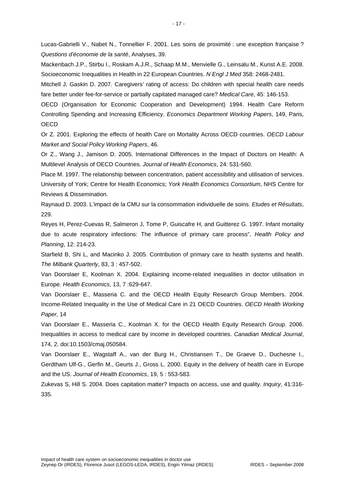Lucas-Gabrielli V., Nabet N., Tonnellier F. 2001. Les soins de proximité : une exception française ? *Questions d'économie de la santé*, Analyses, 39.

Mackenbach J.P., Stirbu I., Roskam A.J.R., Schaap M.M., Menvielle G., Leinsalu M., Kunst A.E. 2008. Socioeconomic Inequalities in Health in 22 European Countries. *N Engl J Med* 358: 2468-2481.

Mitchell J, Gaskin D. 2007. Caregivers' rating of access: Do children with special health care needs fare better under fee-for-service or partially capitated managed care? *Medical Care*, 45: 146-153.

OECD (Organisation for Economic Cooperation and Development) 1994. Health Care Reform Controlling Spending and Increasing Efficiency. *Economics Department Working Papers*, 149, Paris, **OECD** 

Or Z. 2001. Exploring the effects of health Care on Mortality Across OECD countries. *OECD Labour Market and Social Policy Working Papers*, 46.

Or Z., Wang J., Jamison D. 2005. International Differences in the Impact of Doctors on Health: A Multilevel Analysis of OECD Countries. *Journal of Health Economics*, 24: 531-560.

Place M. 1997. The relationship between concentration, patient accessibility and utilisation of services. University of York; Centre for Health Economics; *York Health Economics Consortium*, NHS Centre for Reviews & Dissemination.

Raynaud D. 2003. L'impact de la CMU sur la consommation individuelle de soins. *Etudes et Résultats*, 229.

Reyes H, Perez-Cuevas R, Salmeron J, Tome P, Guiscafre H, and Guitterez G. 1997. Infant mortality due to acute respiratory infections: The influence of primary care process", *Health Policy and Planning*, 12: 214-23.

Starfield B, Shi L, and Macinko J. 2005. Contribution of primary care to health systems and health. *The Milbank Quarterly*, 83, 3 : 457-502.

Van Doorslaer E, Koolman X. 2004. Explaining income-related inequalities in doctor utilisation in Europe. *Health Economics*, 13, 7 :629-647.

Van Doorslaer E., Masseria C. and the OECD Health Equity Research Group Members. 2004. Income-Related Inequality in the Use of Medical Care in 21 OECD Countries. *OECD Health Working Paper,* 14

Van Doorslaer E., Masseria C., Koolman X. for the OECD Health Equity Research Group. 2006. Inequalities in access to medical care by income in developed countries. *Canadian Medical Journal*, 174, 2. doi:10.1503/cmaj.050584.

Van Doorslaer E., Wagstaff A., van der Burg H., Christiansen T., De Graeve D., Duchesne I., Gerdtham Ulf-G., Gerfin M., Geurts J., Gross L. 2000. Equity in the delivery of health care in Europe and the US. *Journal of Health Economics*, 19, 5 : 553-583.

Zukevas S, Hill S. 2004. Does capitation matter? Impacts on access, use and quality. *Inquiry*, 41:316- 335.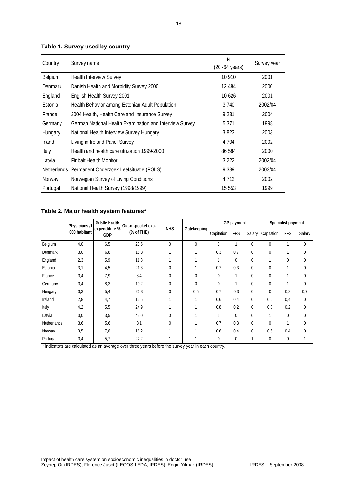#### **Table 1. Survey used by country**

| Country        | Survey name                                             | N<br>$(20 - 64 \text{ years})$ | Survey year |
|----------------|---------------------------------------------------------|--------------------------------|-------------|
| Belgium        | <b>Health Interview Survey</b>                          | 10 910                         | 2001        |
| <b>Denmark</b> | Danish Health and Morbidity Survey 2000                 | 12 4 8 4                       | 2000        |
| England        | English Health Survey 2001                              | 10626                          | 2001        |
| Estonia        | Health Behavior among Estonian Adult Population         | 3 7 4 0                        | 2002/04     |
| France         | 2004 Health, Health Care and Insurance Survey           | 9 2 3 1                        | 2004        |
| Germany        | German National Health Examination and Interview Survey | 5 3 7 1                        | 1998        |
| Hungary        | National Health Interview Survey Hungary                | 3823                           | 2003        |
| <b>Irland</b>  | Living in Ireland Panel Survey                          | 4 7 0 4                        | 2002        |
| Italy          | Health and health care utilization 1999-2000            | 86 584                         | 2000        |
| Latvia         | <b>Finbalt Health Monitor</b>                           | 3 2 2 2                        | 2002/04     |
|                | Netherlands Permanent Onderzoek Leefsituatie (POLS)     | 9 3 3 9                        | 2003/04     |
| Norway         | Norwegian Survey of Living Conditions                   | 4 7 1 2                        | 2002        |
| Portugal       | National Health Survey (1998/1999)                      | 15 553                         | 1999        |

#### **Table 2. Major health system features\***

|             | Public health<br>Physicians /1 |                             | Out-of-pocket exp. |              |             | GP payment  |            |             | Specialist payment |             |          |
|-------------|--------------------------------|-----------------------------|--------------------|--------------|-------------|-------------|------------|-------------|--------------------|-------------|----------|
|             | 000 habitant                   | expenditure %<br><b>GDP</b> | (% of THE)         | <b>NHS</b>   | Gatekeeping | Capitation  | <b>FFS</b> | Salary      | Capitation         | <b>FFS</b>  | Salary   |
| Belgium     | 4,0                            | 6,5                         | 23,5               | $\theta$     | $\mathbf 0$ | 0           |            | 0           | $\mathbf{0}$       |             | 0        |
| Denmark     | 3,0                            | 6,8                         | 16,3               |              |             | 0,3         | 0,7        | 0           | $\mathbf{0}$       |             | 0        |
| England     | 2,3                            | 5,9                         | 11,8               |              |             |             | $\Omega$   | 0           | 1                  | $\mathbf 0$ | 0        |
| Estonia     | 3,1                            | 4,5                         | 21,3               | $\mathbf{0}$ |             | 0,7         | 0,3        | 0           | $\mathbf{0}$       |             | 0        |
| France      | 3,4                            | 7,9                         | 8,4                | $\mathbf 0$  | 0           | 0           |            | 0           | $\mathbf{0}$       |             | 0        |
| Germany     | 3,4                            | 8,3                         | 10,2               | $\mathbf 0$  | 0           | $\mathbf 0$ |            | 0           | $\theta$           | h           | 0        |
| Hungary     | 3,3                            | 5,4                         | 26,3               | $\mathbf{0}$ | 0,5         | 0,7         | 0,3        | 0           | $\mathbf{0}$       | 0,3         | 0,7      |
| Ireland     | 2,8                            | 4,7                         | 12,5               |              |             | 0,6         | 0,4        | 0           | 0,6                | 0,4         | 0        |
| Italy       | 4,2                            | 5,5                         | 24,9               |              |             | 0,8         | 0,2        | $\mathbf 0$ | 0,8                | 0,2         | 0        |
| Latvia      | 3,0                            | 3,5                         | 42,0               | $\Omega$     |             |             | $\Omega$   | 0           | 1                  | $\mathbf 0$ | $\theta$ |
| Netherlands | 3,6                            | 5,6                         | 8,1                | $\mathbf{0}$ |             | 0,7         | 0,3        | 0           | $\Omega$           | 1           | 0        |
| Norway      | 3,5                            | 7,6                         | 16,2               |              |             | 0,6         | 0,4        | 0           | 0,6                | 0,4         | 0        |
| Portugal    | 3,4                            | 5,7                         | 22,2               |              |             | 0           | 0          |             | $\Omega$           | $\mathbf 0$ |          |

\* Indicators are calculated as an average over three years before the survey year in each country.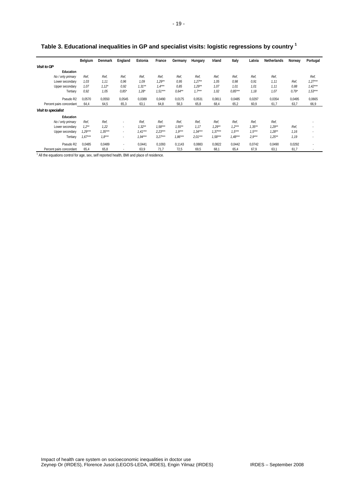|                          | Belgium   | Denmark   | England        | Estonia   | France    | Germany   | Hungary   | Irland    | Italy     | Latvia    | Netherlands | Norway  | Portugal                 |
|--------------------------|-----------|-----------|----------------|-----------|-----------|-----------|-----------|-----------|-----------|-----------|-------------|---------|--------------------------|
| <b>Visit to GP</b>       |           |           |                |           |           |           |           |           |           |           |             |         |                          |
| Education                |           |           |                |           |           |           |           |           |           |           |             |         |                          |
| No / only primary        | Ref.      | Ref,      | Ref.           | Ref,      | Ref.      | Ref.      | Ref.      | Ref.      | Ref,      | Ref.      | Ref.        |         | Ref,                     |
| Lower secondary          | 1.03      | 1.11      | 0,96           | 1.09      | $1,29**$  | 0,95      | $1,27**$  | 1.05      | 0,98      | 0.91      | 1, 11       | Ref,    | $1,27***$                |
| Upper secondary          | 1.07      | $1,12*$   | 0,92           | $1.31***$ | $1.4***$  | 0,85      | $1,29**$  | 1.07      | 1.01      | 1.01      | 1.11        | 0,88    | $1.42***$                |
| Tertiary                 | 0,92      | 1,05      | $0.85*$        | $1,28*$   | $7.51***$ | $0.64***$ | $1,7***$  | 1,02      | $0.85***$ | 1,18      | 1,07        | $0.79*$ | $1,53***$                |
| Pseudo R2                | 0,0570    | 0,0550    | 0,0545         | 0,0389    | 0,0490    | 0,0175    | 0,0531    | 0,0811    | 0,0485    | 0,0297    | 0,0354      | 0,0495  | 0,0665                   |
| Percent pairs concordant | 64,4      | 64,5      | 65,3           | 63,1      | 64,8      | 58,3      | 65,8      | 68,4      | 65,2      | 60,9      | 61,7        | 63,7    | 66,9                     |
| Visit to specialist      |           |           |                |           |           |           |           |           |           |           |             |         |                          |
| Education                |           |           |                |           |           |           |           |           |           |           |             |         |                          |
| No / only primary        | Ref.      | Ref,      |                | Ref.      | Ref,      | Ref.      | Ref,      | Ref.      | Ref,      | Ref.      | Ref,        |         | $\overline{\phantom{a}}$ |
| Lower secondary          | $1.2***$  | 1.22      | $\overline{a}$ | $1,32***$ | $1.58***$ | $1.55***$ | 1.17      | $1,29**$  | $1,2***$  | $1.35***$ | $1.29**$    | Ref,    | $\overline{\phantom{a}}$ |
| Upper secondary          | 1,29***   | $1,35***$ | $\overline{a}$ | $1.41***$ | $2.23***$ | $7.9***$  | $1,34***$ | $1.37***$ | $1.5***$  | $1.5***$  | $1,28**$    | 1,16    | $\sim$                   |
| Tertiary                 | $1.67***$ | $7.8***$  | ۰              | $1.94***$ | $3.27***$ | $1.86***$ | $2.01***$ | $1.58***$ | $1,48***$ | $2.9***$  | $1,25***$   | 1,19    | $\overline{\phantom{a}}$ |
| Pseudo R2                | 0.0485    | 0.0489    | $\sim$         | 0.0441    | 0.1093    | 0.1143    | 0,0883    | 0,0822    | 0.0442    | 0.0742    | 0,0490      | 0,0292  | $\overline{\phantom{a}}$ |
| Percent pairs concordant | 65,4      | 65,8      |                | 63,9      | 71,7      | 72,5      | 69,5      | 68,1      | 65,4      | 67,9      | 63,1        | 61,7    |                          |

**Table 3. Educational inequalities in GP and specialist visits: logistic regressions by country 1** 

<sup>1</sup> All the equations control for age, sex, self reported health, BMI and place of residence.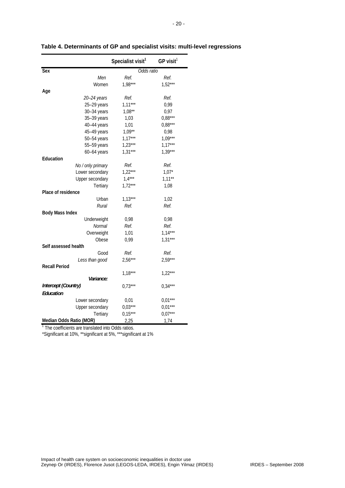|                         | Specialist visit <sup>1</sup> | $GP$ visit <sup>1</sup> |
|-------------------------|-------------------------------|-------------------------|
| Sex                     | Odds ratio                    |                         |
| Men                     | Ref.                          | Ref.                    |
| Women                   | $1,98***$                     | $1,52***$               |
| Age                     |                               |                         |
| 20-24 years             | Ref.                          | Ref.                    |
| 25-29 years             | $1,11***$                     | 0,99                    |
| 30-34 years             | $1,08**$                      | 0,97                    |
| 35-39 years             | 1,03                          | $0,88***$               |
| 40-44 years             | 1,01                          | $0.88***$               |
| 45-49 years             | $1,09***$                     | 0,98                    |
| 50-54 years             | $1,17***$                     | $1,09***$               |
| 55-59 years             | $1,23***$                     | $1,17***$               |
| $60-64$ years           | $1,31***$                     | $1,39***$               |
| Education               |                               |                         |
| No / only primary       | Ref.                          | Ref.                    |
| Lower secondary         | $1,22***$                     | $1,07*$                 |
| Upper secondary         | $1.4***$                      | $1,11***$               |
| Tertiary                | $1,72***$                     | 1,08                    |
| Place of residence      |                               |                         |
| Urban                   | $1,13***$                     | 1,02                    |
| Rural                   | Ref.                          | Ref.                    |
| <b>Body Mass Index</b>  |                               |                         |
| Underweight             | 0,98                          | 0,98                    |
| Normal                  | Ref.                          | Ref.                    |
| Overweight              | 1,01                          | $1,14***$               |
| Obese                   | 0,99                          | $1,31***$               |
| Self assessed health    |                               |                         |
| Good                    | Ref.                          | Ref.                    |
| Less than good          | $2,56***$                     | $2,59***$               |
| <b>Recall Period</b>    |                               |                         |
|                         | $1,18***$                     | $1,22***$               |
| Variance:               |                               |                         |
| Intercept (Country)     | $0.73***$                     | $0.34***$               |
| Education               |                               |                         |
| Lower secondary         | 0,01                          | $0,01***$               |
| Upper secondary         | $0.03***$                     | $0,01***$               |
| Tertiary                | $0.15***$                     | $0.07***$               |
| Median Odds Ratio (MOR) | 2,25                          | 1,74                    |

**Table 4. Determinants of GP and specialist visits: multi-level regressions** 

<sup>1</sup> The coefficients are translated into Odds ratios.

\*Significant at 10%, \*\*significant at 5%, \*\*\*significant at 1%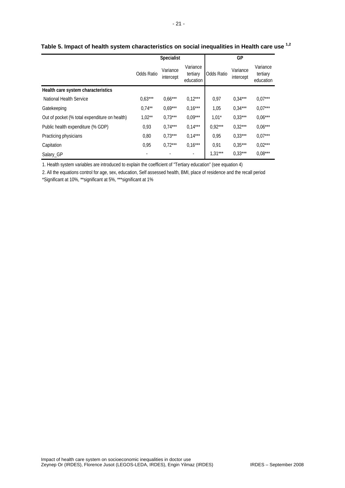|                                               |            | <b>Specialist</b>     |                                   | GP                |                       |                                   |  |
|-----------------------------------------------|------------|-----------------------|-----------------------------------|-------------------|-----------------------|-----------------------------------|--|
|                                               | Odds Ratio | Variance<br>intercept | Variance<br>tertiary<br>education | <b>Odds Ratio</b> | Variance<br>intercept | Variance<br>tertiary<br>education |  |
| Health care system characteristics            |            |                       |                                   |                   |                       |                                   |  |
| National Health Service                       | $0.63***$  | $0.66***$             | $0.12***$                         | 0,97              | $0.34***$             | $0.07***$                         |  |
| Gatekeeping                                   | $0.74***$  | $0.69***$             | $0,16***$                         | 1,05              | $0.34***$             | $0.07***$                         |  |
| Out of pocket (% total expenditure on health) | $1,02**$   | $0.73***$             | $0.09***$                         | $1,01*$           | $0.33***$             | $0.06***$                         |  |
| Public health expenditure (% GDP)             | 0,93       | $0.74***$             | $0,14***$                         | $0.92***$         | $0.32***$             | $0.06***$                         |  |
| Practicing physicians                         | 0,80       | $0.73***$             | $0,14***$                         | 0.95              | $0.33***$             | $0.07***$                         |  |
| Capitation                                    | 0,95       | $0.72***$             | $0,16***$                         | 0.91              | $0.35***$             | $0.02***$                         |  |
| Salary_GP                                     |            |                       | $\blacksquare$                    | $1,31***$         | $0.33***$             | $0.08***$                         |  |

# **Table 5. Impact of health system characteristics on social inequalities in Health care use 1,2**

1. Health system variables are introduced to explain the coefficient of "Tertiary education" (see equation 4)

2. All the equations control for age, sex, education, Self assessed health, BMI, place of residence and the recall period

\*Significant at 10%, \*\*significant at 5%, \*\*\*significant at 1%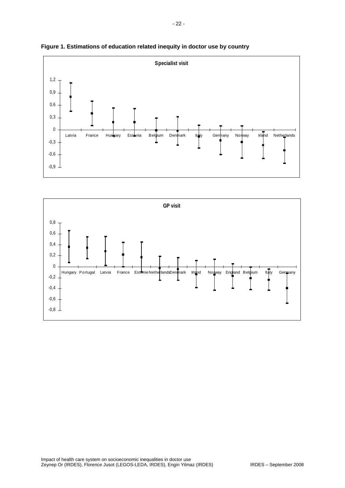